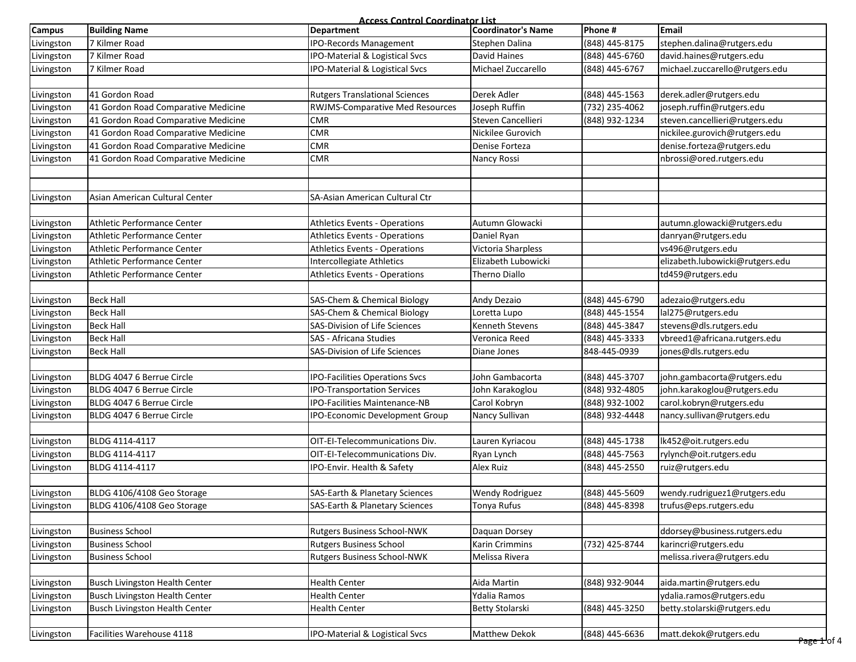**Access Control Coordinator List**<br>Department **Coordinator's Name Campus Building Name Department Coordinator's Name Phone # Email** Livingston 7 Kilmer Road IPO-Records Management Stephen Dalina (848) 445-8175 [stephen.dalina@rutgers.edu](mailto:stephen.dalina@rutgers.edu) Livingston 7 Kilmer Road IPO-Material & Logistical Svcs David Haines (848) 445-6760 [david.haines@rutgers.edu](mailto:david.haines@rutgers.edu) Livingston 7 Kilmer Road IPO-Material & Logistical Svcs Michael Zuccarello (848) 445-6767 [michael.zuccarello@rutgers.edu](mailto:michael.zuccarello@rutgers.edu) Livingston 41 Gordon Road Rutgers Translational Sciences Derek Adler (848) 445-1563 derek.adler@rutgers.edu Livingston 41 Gordon Road Comparative Medicine RWJMS-Comparative Med Resources Joseph Ruffin (732) 235-4062 [joseph.ruffin@rutgers.edu](mailto:joseph.ruffin@rutgers.edu) Livingston 41 Gordon Road Comparative Medicine CMR Steven Cancellieri (848) 932-1234 steven.cancellieri@rutgers.edu Livingston 41 Gordon Road Comparative Medicine **CMR** CMR Nickilee Gurovich Nickilee Gurovich nickilee.gurovich@rutgers.edu Livingston 41 Gordon Road Comparative Medicine CMR CMR Denise Forteza Denise Forteza denise.forteza@rutgers.edu Livingston 41 Gordon Road Comparative Medicine CMR CMR Nancy Rossi Nancy Rossi Nancy Rossi Nancy Rossi Nancy Rossi Livingston Asian American Cultural Center SA-Asian American Cultural Ctr Livingston Athletic Performance Center Athletics Events - Operations Autumn Glowacki [autumn.glowacki@rutgers.edu](mailto:autumn.glowacki@rutgers.edu) Livingston Athletic Performance Center **Athletics Communists** Athletics Events - Operations Daniel Ryan [danryan@rutgers.edu](mailto:danryan@rutgers.edu) Livingston Athletic Performance Center Athletics Events - Operations Victoria Sharpless [vs496@rutgers.edu](mailto:vs496@rutgers.edu) Livingston Athletic Performance Center **Intercollegiate Athletics** Elizabeth Lubowicki elizabeth Lubowicki@rutgers.edu Livingston Athletic Performance Center **Athletics Events - Operations** Therno Diallo the Therno Diallo td459@rutgers.edu Livingston Beck Hall SAS-Chem & Chemical Biology Andy Dezaio (848) 445-6790 [adezaio@rutgers.edu](mailto:adezaio@rutgers.edu) Livingston Beck Hall SAS-Chem & Chemical Biology Loretta Lupo (848) 445-1554 lal275@rutgers.edu Livingston Beck Hall SAS-Division of Life Sciences Kenneth Stevens (848) 445-3847 stevens@dls.rutgers.edu Livingston Beck Hall SAS - Africana Studies Veronica Reed (848) 445-3333 vbreed1@africana.rutgers.edu Livingston Beck Hall SAS-Division of Life Sciences Diane Jones 848-445-0939 jones@dls.rutgers.edu Livingston BLDG 4047 6 Berrue Circle IPO-Facilities Operations Svcs John Gambacorta (848) 445-3707 [john.gambacorta@rutgers.edu](mailto:john.gambacorta@rutgers.edu) Livingston BLDG 4047 6 Berrue Circle IPO-Transportation Services John Karakoglou (848) 932-4805 [john.karakoglou@rutgers.edu](mailto:john.karakoglou@rutgers.edu) Livingston BLDG 4047 6 Berrue Circle IPO-Facilities Maintenance-NB Carol Kobryn (848) 932-1002 [carol.kobryn@rutgers.edu](mailto:carol.kobryn@rutgers.edu) Livingston BLDG 4047 6 Berrue Circle IPO-Economic Development Group Nancy Sullivan (848) 932-4448 [nancy.sullivan@rutgers.edu](mailto:nancy.sullivan@rutgers.edu) Livingston BLDG 4114-4117 OIT-EI-Telecommunications Div. Lauren Kyriacou (848) 445-1738 lk452@oit.rutgers.edu Livingston BLDG 4114-4117 OIT-EI-Telecommunications Div. Ryan Lynch (848) 445-7563 [rylynch@oit.rutgers.edu](mailto:rylynch@oit.rutgers.edu) Livingston BLDG 4114-4117 **IPO-Envir. Health & Safety** Alex Ruiz Alex Ruiz (848) 445-2550 [ruiz@rutgers.edu](mailto:ruiz@rutgers.edu) Livingston BLDG 4106/4108 Geo Storage SAS-Earth & Planetary Sciences Wendy Rodriguez (848) 445-5609 [wendy.rudriguez1@rutgers.edu](mailto:wendy.rudriguez1@rutgers.edu) Livingston BLDG 4106/4108 Geo Storage Same SAS-Earth & Planetary Sciences Tonya Rufus (848) 445-8398 [trufus@eps.rutgers.edu](mailto:trufus@eps.rutgers.edu) Livingston Business School Rutgers Business School-NWK Daquan Dorsey ddorsey@business.rutgers.edu Livingston Business School Rutgers Business School Karin Crimmins (732) 425-8744 karincri@rutgers.edu Livingston Business School Rutgers Business School-NWK Melissa Rivera melissa.rivera@rutgers.edu Livingston Busch Livingston Health Center Health Center Aida Martin (848) 932-9044 aida.martin@rutgers.edu Livingston Busch Livingston Health Center Health Center Health Center Network (Ydalia Ramos Networkshands and Ydalia Ramos Networkshands Realth Center Networkshands and the state of the state of the state of the state of t Livingston Busch Livingston Health Center Health Center Betty Stolarski (848) 445-3250 betty.stolarski@rutgers.edu Livingston Facilities Warehouse 4118 IPO-Material & Logistical Svcs Matthew Dekok (848) 445-6636 matt.dekok@rutgers.edu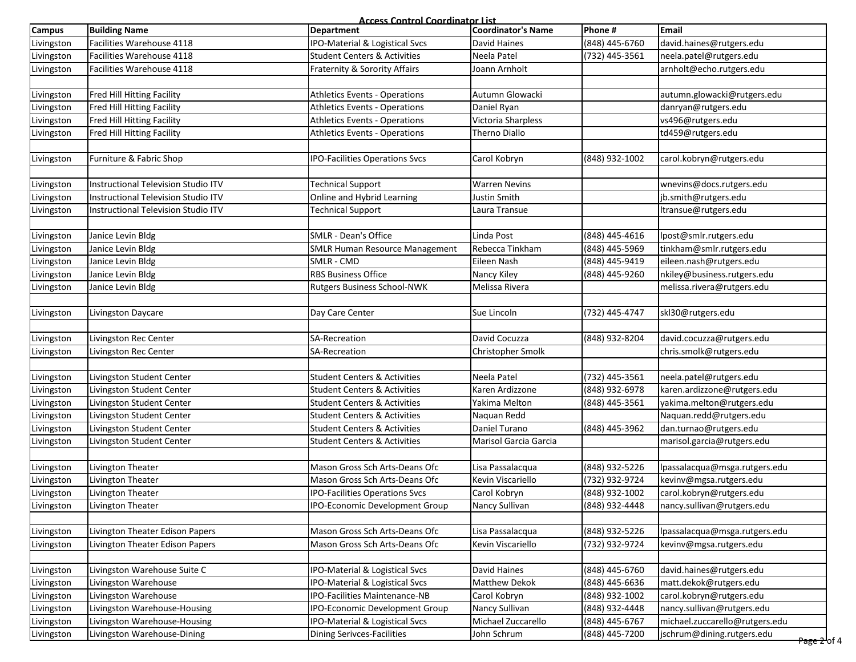|            |                                     | <b>Access Control Coordinator List</b>   |                           |                |                                |
|------------|-------------------------------------|------------------------------------------|---------------------------|----------------|--------------------------------|
| Campus     | <b>Building Name</b>                | <b>Department</b>                        | <b>Coordinator's Name</b> | Phone #        | <b>Email</b>                   |
| Livingston | Facilities Warehouse 4118           | IPO-Material & Logistical Svcs           | David Haines              | (848) 445-6760 | david.haines@rutgers.edu       |
| Livingston | Facilities Warehouse 4118           | <b>Student Centers &amp; Activities</b>  | Neela Patel               | (732) 445-3561 | neela.patel@rutgers.edu        |
| Livingston | Facilities Warehouse 4118           | Fraternity & Sorority Affairs            | Joann Arnholt             |                | arnholt@echo.rutgers.edu       |
|            |                                     |                                          |                           |                |                                |
| Livingston | Fred Hill Hitting Facility          | <b>Athletics Events - Operations</b>     | Autumn Glowacki           |                | autumn.glowacki@rutgers.edu    |
| Livingston | Fred Hill Hitting Facility          | <b>Athletics Events - Operations</b>     | Daniel Ryan               |                | danryan@rutgers.edu            |
| Livingston | Fred Hill Hitting Facility          | <b>Athletics Events - Operations</b>     | Victoria Sharpless        |                | vs496@rutgers.edu              |
| Livingston | Fred Hill Hitting Facility          | <b>Athletics Events - Operations</b>     | Therno Diallo             |                | td459@rutgers.edu              |
|            |                                     |                                          |                           |                |                                |
| Livingston | Furniture & Fabric Shop             | <b>IPO-Facilities Operations Svcs</b>    | Carol Kobryn              | (848) 932-1002 | carol.kobryn@rutgers.edu       |
|            |                                     |                                          |                           |                |                                |
| Livingston | Instructional Television Studio ITV | <b>Technical Support</b>                 | <b>Warren Nevins</b>      |                | wnevins@docs.rutgers.edu       |
| Livingston | Instructional Television Studio ITV | Online and Hybrid Learning               | Justin Smith              |                | jb.smith@rutgers.edu           |
| Livingston | Instructional Television Studio ITV | <b>Technical Support</b>                 | Laura Transue             |                | ltransue@rutgers.edu           |
|            |                                     | <b>SMLR - Dean's Office</b>              | Linda Post                |                |                                |
| Livingston | Janice Levin Bldg                   |                                          | Rebecca Tinkham           | (848) 445-4616 | lpost@smlr.rutgers.edu         |
| Livingston | Janice Levin Bldg                   | <b>SMLR Human Resource Management</b>    |                           | (848) 445-5969 | tinkham@smlr.rutgers.edu       |
| Livingston | Janice Levin Bldg                   | SMLR - CMD<br><b>RBS Business Office</b> | Eileen Nash               | (848) 445-9419 | eileen.nash@rutgers.edu        |
| Livingston | Janice Levin Bldg                   |                                          | Nancy Kiley               | (848) 445-9260 | nkiley@business.rutgers.edu    |
| Livingston | Janice Levin Bldg                   | Rutgers Business School-NWK              | Melissa Rivera            |                | melissa.rivera@rutgers.edu     |
| Livingston | Livingston Daycare                  | Day Care Center                          | Sue Lincoln               | (732) 445-4747 | skl30@rutgers.edu              |
|            |                                     |                                          |                           |                |                                |
| Livingston | Livingston Rec Center               | <b>SA-Recreation</b>                     | David Cocuzza             | (848) 932-8204 | david.cocuzza@rutgers.edu      |
| Livingston | Livingston Rec Center               | SA-Recreation                            | Christopher Smolk         |                | chris.smolk@rutgers.edu        |
|            |                                     |                                          |                           |                |                                |
| Livingston | Livingston Student Center           | <b>Student Centers &amp; Activities</b>  | Neela Patel               | (732) 445-3561 | neela.patel@rutgers.edu        |
| Livingston | Livingston Student Center           | <b>Student Centers &amp; Activities</b>  | Karen Ardizzone           | (848) 932-6978 | karen.ardizzone@rutgers.edu    |
| Livingston | Livingston Student Center           | <b>Student Centers &amp; Activities</b>  | Yakima Melton             | (848) 445-3561 | yakima.melton@rutgers.edu      |
| Livingston | Livingston Student Center           | <b>Student Centers &amp; Activities</b>  | Naquan Redd               |                | Naquan.redd@rutgers.edu        |
| Livingston | Livingston Student Center           | <b>Student Centers &amp; Activities</b>  | Daniel Turano             | (848) 445-3962 | dan.turnao@rutgers.edu         |
| Livingston | Livingston Student Center           | <b>Student Centers &amp; Activities</b>  | Marisol Garcia Garcia     |                | marisol.garcia@rutgers.edu     |
|            |                                     |                                          |                           |                |                                |
| Livingston | Livington Theater                   | Mason Gross Sch Arts-Deans Ofc           | Lisa Passalacqua          | (848) 932-5226 | lpassalacqua@msga.rutgers.edu  |
| Livingston | Livington Theater                   | Mason Gross Sch Arts-Deans Ofc           | Kevin Viscariello         | (732) 932-9724 | kevinv@mgsa.rutgers.edu        |
| Livingston | Livington Theater                   | <b>IPO-Facilities Operations Svcs</b>    | Carol Kobryn              | (848) 932-1002 | carol.kobryn@rutgers.edu       |
| Livingston | Livington Theater                   | <b>IPO-Economic Development Group</b>    | Nancy Sullivan            | (848) 932-4448 | nancy.sullivan@rutgers.edu     |
|            |                                     |                                          |                           |                |                                |
| Livingston | Livington Theater Edison Papers     | Mason Gross Sch Arts-Deans Ofc           | Lisa Passalacqua          | (848) 932-5226 | lpassalacqua@msga.rutgers.edu  |
| Livingston | Livington Theater Edison Papers     | Mason Gross Sch Arts-Deans Ofc           | Kevin Viscariello         | (732) 932-9724 | kevinv@mgsa.rutgers.edu        |
|            |                                     |                                          |                           |                |                                |
| Livingston | Livingston Warehouse Suite C        | IPO-Material & Logistical Svcs           | David Haines              | (848) 445-6760 | david.haines@rutgers.edu       |
| Livingston | Livingston Warehouse                | IPO-Material & Logistical Svcs           | Matthew Dekok             | (848) 445-6636 | matt.dekok@rutgers.edu         |
| Livingston | Livingston Warehouse                | <b>IPO-Facilities Maintenance-NB</b>     | Carol Kobryn              | (848) 932-1002 | carol.kobryn@rutgers.edu       |
| Livingston | Livingston Warehouse-Housing        | IPO-Economic Development Group           | Nancy Sullivan            | (848) 932-4448 | nancy.sullivan@rutgers.edu     |
| Livingston | Livingston Warehouse-Housing        | IPO-Material & Logistical Svcs           | Michael Zuccarello        | (848) 445-6767 | michael.zuccarello@rutgers.edu |
| Livingston | Livingston Warehouse-Dining         | <b>Dining Serivces-Facilities</b>        | John Schrum               | (848) 445-7200 | jschrum@dining.rutgers.edu     |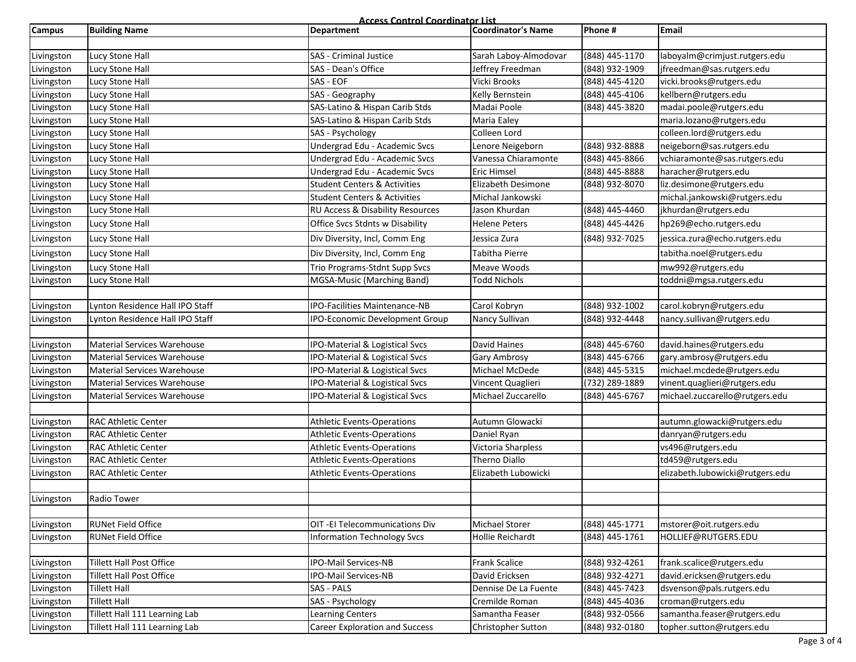**Access Control Coordinator List**

| <b>Campus</b> | <b>Building Name</b>               | <u>Access Control Coordinator List.</u><br>Department | Coordinator's Name      | Phone #          | <b>Email</b>                    |
|---------------|------------------------------------|-------------------------------------------------------|-------------------------|------------------|---------------------------------|
|               |                                    |                                                       |                         |                  |                                 |
| Livingston    | Lucy Stone Hall                    | <b>SAS</b> - Criminal Justice                         | Sarah Laboy-Almodovar   | (848) 445-1170   | laboyalm@crimjust.rutgers.edu   |
| Livingston    | Lucy Stone Hall                    | SAS - Dean's Office                                   | Jeffrey Freedman        | (848) 932-1909   | jfreedman@sas.rutgers.edu       |
| Livingston    | Lucy Stone Hall                    | SAS - EOF                                             | Vicki Brooks            | (848) 445-4120   | vicki.brooks@rutgers.edu        |
| Livingston    | Lucy Stone Hall                    | SAS - Geography                                       | Kelly Bernstein         | (848) 445-4106   | kellbern@rutgers.edu            |
| Livingston    | Lucy Stone Hall                    | SAS-Latino & Hispan Carib Stds                        | Madai Poole             | (848) 445-3820   | madai.poole@rutgers.edu         |
| Livingston    | Lucy Stone Hall                    | SAS-Latino & Hispan Carib Stds                        | Maria Ealey             |                  | maria.lozano@rutgers.edu        |
| Livingston    | Lucy Stone Hall                    | SAS - Psychology                                      | Colleen Lord            |                  | colleen.lord@rutgers.edu        |
| Livingston    | Lucy Stone Hall                    | Undergrad Edu - Academic Svcs                         | Lenore Neigeborn        | $(848)$ 932-8888 | neigeborn@sas.rutgers.edu       |
| Livingston    | Lucy Stone Hall                    | Undergrad Edu - Academic Svcs                         | Vanessa Chiaramonte     | (848) 445-8866   | vchiaramonte@sas.rutgers.edu    |
| Livingston    | Lucy Stone Hall                    | Undergrad Edu - Academic Svcs                         | <b>Eric Himsel</b>      | (848) 445-8888   | haracher@rutgers.edu            |
| Livingston    | Lucy Stone Hall                    | <b>Student Centers &amp; Activities</b>               | Elizabeth Desimone      | (848) 932-8070   | liz.desimone@rutgers.edu        |
| Livingston    | Lucy Stone Hall                    | <b>Student Centers &amp; Activities</b>               | Michal Jankowski        |                  | michal.jankowski@rutgers.edu    |
| Livingston    | Lucy Stone Hall                    | RU Access & Disability Resources                      | Jason Khurdan           | (848) 445-4460   | jkhurdan@rutgers.edu            |
| Livingston    | Lucy Stone Hall                    | Office Svcs Stdnts w Disability                       | <b>Helene Peters</b>    | (848) 445-4426   | hp269@echo.rutgers.edu          |
| Livingston    | Lucy Stone Hall                    | Div Diversity, Incl, Comm Eng                         | Jessica Zura            | (848) 932-7025   | jessica.zura@echo.rutgers.edu   |
| Livingston    | Lucy Stone Hall                    | Div Diversity, Incl, Comm Eng                         | Tabitha Pierre          |                  | tabitha.noel@rutgers.edu        |
| Livingston    | Lucy Stone Hall                    | Trio Programs-Stdnt Supp Svcs                         | Meave Woods             |                  | mw992@rutgers.edu               |
| Livingston    | Lucy Stone Hall                    | MGSA-Music (Marching Band)                            | Todd Nichols            |                  | toddni@mgsa.rutgers.edu         |
|               |                                    |                                                       |                         |                  |                                 |
| Livingston    | Lynton Residence Hall IPO Staff    | IPO-Facilities Maintenance-NB                         | Carol Kobryn            | (848) 932-1002   | carol.kobryn@rutgers.edu        |
| Livingston    | Lynton Residence Hall IPO Staff    | IPO-Economic Development Group                        | Nancy Sullivan          | (848) 932-4448   | nancy.sullivan@rutgers.edu      |
|               |                                    |                                                       |                         |                  |                                 |
| Livingston    | <b>Material Services Warehouse</b> | IPO-Material & Logistical Svcs                        | <b>David Haines</b>     | (848) 445-6760   | david.haines@rutgers.edu        |
| Livingston    | <b>Material Services Warehouse</b> | IPO-Material & Logistical Svcs                        | <b>Gary Ambrosy</b>     | (848) 445-6766   | gary.ambrosy@rutgers.edu        |
| Livingston    | <b>Material Services Warehouse</b> | IPO-Material & Logistical Svcs                        | Michael McDede          | (848) 445-5315   | michael.mcdede@rutgers.edu      |
| Livingston    | <b>Material Services Warehouse</b> | IPO-Material & Logistical Svcs                        | Vincent Quaglieri       | (732) 289-1889   | vinent.quaglieri@rutgers.edu    |
| Livingston    | <b>Material Services Warehouse</b> | IPO-Material & Logistical Svcs                        | Michael Zuccarello      | (848) 445-6767   | michael.zuccarello@rutgers.edu  |
|               |                                    |                                                       |                         |                  |                                 |
| Livingston    | <b>RAC Athletic Center</b>         | <b>Athletic Events-Operations</b>                     | Autumn Glowacki         |                  | autumn.glowacki@rutgers.edu     |
| Livingston    | <b>RAC Athletic Center</b>         | <b>Athletic Events-Operations</b>                     | Daniel Ryan             |                  | danryan@rutgers.edu             |
| Livingston    | <b>RAC Athletic Center</b>         | <b>Athletic Events-Operations</b>                     | Victoria Sharpless      |                  | vs496@rutgers.edu               |
| Livingston    | <b>RAC Athletic Center</b>         | <b>Athletic Events-Operations</b>                     | Therno Diallo           |                  | td459@rutgers.edu               |
| Livingston    | <b>RAC Athletic Center</b>         | <b>Athletic Events-Operations</b>                     | Elizabeth Lubowicki     |                  | elizabeth.lubowicki@rutgers.edu |
|               |                                    |                                                       |                         |                  |                                 |
| Livingston    | Radio Tower                        |                                                       |                         |                  |                                 |
|               |                                    |                                                       |                         |                  |                                 |
| Livingston    | <b>RUNet Field Office</b>          | OIT - EI Telecommunications Div                       | <b>Michael Storer</b>   | (848) 445-1771   | mstorer@oit.rutgers.edu         |
| Livingston    | <b>RUNet Field Office</b>          | <b>Information Technology Svcs</b>                    | <b>Hollie Reichardt</b> | (848) 445-1761   | HOLLIEF@RUTGERS.EDU             |
|               |                                    |                                                       |                         |                  |                                 |
| Livingston    | <b>Tillett Hall Post Office</b>    | IPO-Mail Services-NB                                  | Frank Scalice           | (848) 932-4261   | frank.scalice@rutgers.edu       |
| Livingston    | Tillett Hall Post Office           | <b>IPO-Mail Services-NB</b>                           | David Ericksen          | (848) 932-4271   | david.ericksen@rutgers.edu      |
| Livingston    | <b>Tillett Hall</b>                | SAS - PALS                                            | Dennise De La Fuente    | (848) 445-7423   | dsvenson@pals.rutgers.edu       |
| Livingston    | <b>Tillett Hall</b>                | SAS - Psychology                                      | Cremilde Roman          | (848) 445-4036   | croman@rutgers.edu              |
| Livingston    | Tillett Hall 111 Learning Lab      | <b>Learning Centers</b>                               | Samantha Feaser         | (848) 932-0566   | samantha.feaser@rutgers.edu     |
| Livingston    | Tillett Hall 111 Learning Lab      | <b>Career Exploration and Success</b>                 | Christopher Sutton      | (848) 932-0180   | topher.sutton@rutgers.edu       |